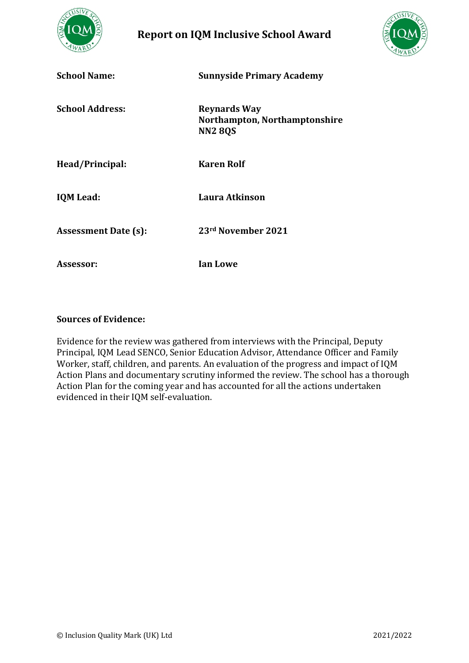

**Report on IQM Inclusive School Award** 



| <b>School Name:</b>         | <b>Sunnyside Primary Academy</b>                                       |
|-----------------------------|------------------------------------------------------------------------|
| <b>School Address:</b>      | <b>Reynards Way</b><br>Northampton, Northamptonshire<br><b>NN2 8QS</b> |
| Head/Principal:             | <b>Karen Rolf</b>                                                      |
| <b>IQM</b> Lead:            | Laura Atkinson                                                         |
| <b>Assessment Date (s):</b> | 23rd November 2021                                                     |
| Assessor:                   | <b>Ian Lowe</b>                                                        |

#### **Sources of Evidence:**

Evidence for the review was gathered from interviews with the Principal, Deputy Principal, IQM Lead SENCO, Senior Education Advisor, Attendance Officer and Family Worker, staff, children, and parents. An evaluation of the progress and impact of IQM Action Plans and documentary scrutiny informed the review. The school has a thorough Action Plan for the coming year and has accounted for all the actions undertaken evidenced in their IQM self-evaluation.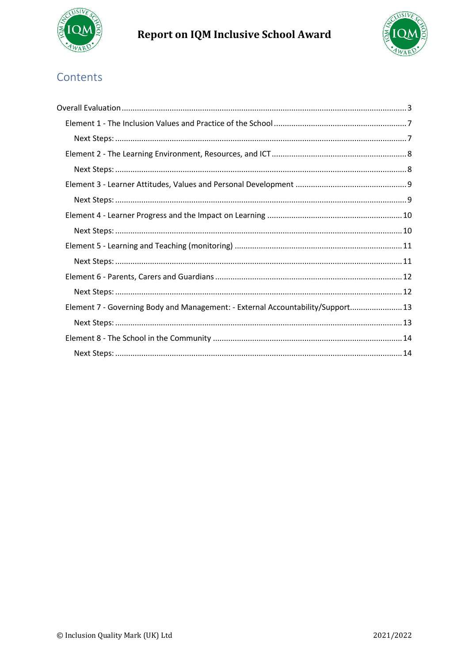

# Report on IQM Inclusive School Award



# Contents

| Element 7 - Governing Body and Management: - External Accountability/Support 13 |
|---------------------------------------------------------------------------------|
|                                                                                 |
|                                                                                 |
|                                                                                 |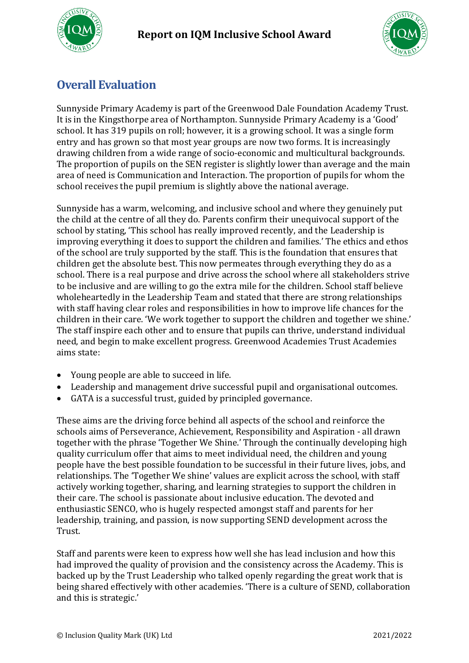



# <span id="page-2-0"></span>**Overall Evaluation**

Sunnyside Primary Academy is part of the Greenwood Dale Foundation Academy Trust. It is in the Kingsthorpe area of Northampton. Sunnyside Primary Academy is a 'Good' school. It has 319 pupils on roll; however, it is a growing school. It was a single form entry and has grown so that most year groups are now two forms. It is increasingly drawing children from a wide range of socio-economic and multicultural backgrounds. The proportion of pupils on the SEN register is slightly lower than average and the main area of need is Communication and Interaction. The proportion of pupils for whom the school receives the pupil premium is slightly above the national average.

Sunnyside has a warm, welcoming, and inclusive school and where they genuinely put the child at the centre of all they do. Parents confirm their unequivocal support of the school by stating, 'This school has really improved recently, and the Leadership is improving everything it does to support the children and families.' The ethics and ethos of the school are truly supported by the staff. This is the foundation that ensures that children get the absolute best. This now permeates through everything they do as a school. There is a real purpose and drive across the school where all stakeholders strive to be inclusive and are willing to go the extra mile for the children. School staff believe wholeheartedly in the Leadership Team and stated that there are strong relationships with staff having clear roles and responsibilities in how to improve life chances for the children in their care. 'We work together to support the children and together we shine.' The staff inspire each other and to ensure that pupils can thrive, understand individual need, and begin to make excellent progress. Greenwood Academies Trust Academies aims state:

- Young people are able to succeed in life.
- Leadership and management drive successful pupil and organisational outcomes.
- GATA is a successful trust, guided by principled governance.

These aims are the driving force behind all aspects of the school and reinforce the schools aims of Perseverance, Achievement, Responsibility and Aspiration - all drawn together with the phrase 'Together We Shine.' Through the continually developing high quality curriculum offer that aims to meet individual need, the children and young people have the best possible foundation to be successful in their future lives, jobs, and relationships. The 'Together We shine' values are explicit across the school, with staff actively working together, sharing, and learning strategies to support the children in their care. The school is passionate about inclusive education. The devoted and enthusiastic SENCO, who is hugely respected amongst staff and parents for her leadership, training, and passion, is now supporting SEND development across the Trust.

Staff and parents were keen to express how well she has lead inclusion and how this had improved the quality of provision and the consistency across the Academy. This is backed up by the Trust Leadership who talked openly regarding the great work that is being shared effectively with other academies. 'There is a culture of SEND, collaboration and this is strategic.'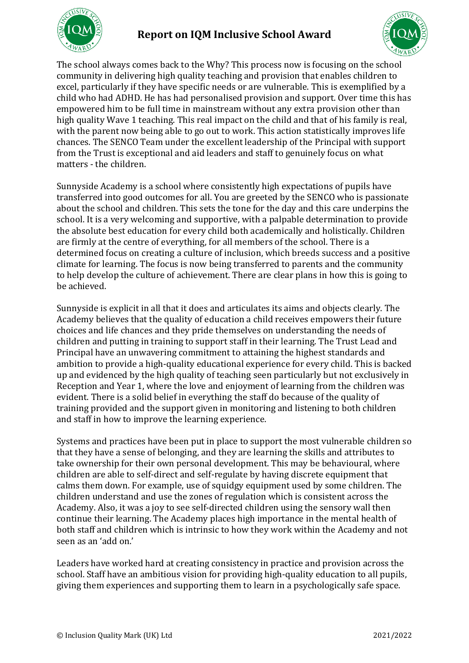



The school always comes back to the Why? This process now is focusing on the school community in delivering high quality teaching and provision that enables children to excel, particularly if they have specific needs or are vulnerable. This is exemplified by a child who had ADHD. He has had personalised provision and support. Over time this has empowered him to be full time in mainstream without any extra provision other than high quality Wave 1 teaching. This real impact on the child and that of his family is real, with the parent now being able to go out to work. This action statistically improves life chances. The SENCO Team under the excellent leadership of the Principal with support from the Trust is exceptional and aid leaders and staff to genuinely focus on what matters - the children.

Sunnyside Academy is a school where consistently high expectations of pupils have transferred into good outcomes for all. You are greeted by the SENCO who is passionate about the school and children. This sets the tone for the day and this care underpins the school. It is a very welcoming and supportive, with a palpable determination to provide the absolute best education for every child both academically and holistically. Children are firmly at the centre of everything, for all members of the school. There is a determined focus on creating a culture of inclusion, which breeds success and a positive climate for learning. The focus is now being transferred to parents and the community to help develop the culture of achievement. There are clear plans in how this is going to be achieved.

Sunnyside is explicit in all that it does and articulates its aims and objects clearly. The Academy believes that the quality of education a child receives empowers their future choices and life chances and they pride themselves on understanding the needs of children and putting in training to support staff in their learning. The Trust Lead and Principal have an unwavering commitment to attaining the highest standards and ambition to provide a high-quality educational experience for every child. This is backed up and evidenced by the high quality of teaching seen particularly but not exclusively in Reception and Year 1, where the love and enjoyment of learning from the children was evident. There is a solid belief in everything the staff do because of the quality of training provided and the support given in monitoring and listening to both children and staff in how to improve the learning experience.

Systems and practices have been put in place to support the most vulnerable children so that they have a sense of belonging, and they are learning the skills and attributes to take ownership for their own personal development. This may be behavioural, where children are able to self-direct and self-regulate by having discrete equipment that calms them down. For example, use of squidgy equipment used by some children. The children understand and use the zones of regulation which is consistent across the Academy. Also, it was a joy to see self-directed children using the sensory wall then continue their learning. The Academy places high importance in the mental health of both staff and children which is intrinsic to how they work within the Academy and not seen as an 'add on.'

Leaders have worked hard at creating consistency in practice and provision across the school. Staff have an ambitious vision for providing high-quality education to all pupils, giving them experiences and supporting them to learn in a psychologically safe space.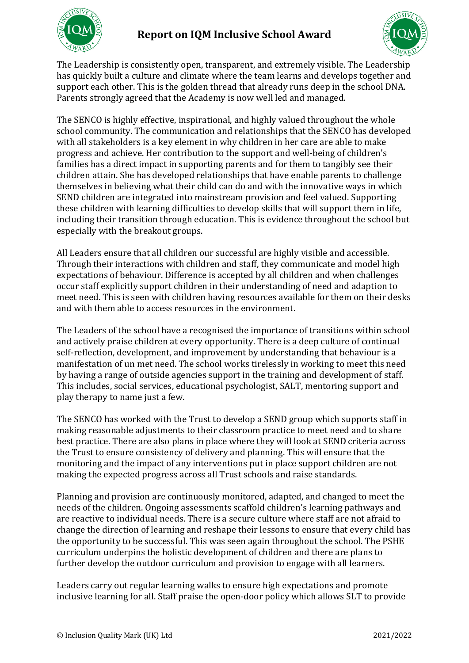



The Leadership is consistently open, transparent, and extremely visible. The Leadership has quickly built a culture and climate where the team learns and develops together and support each other. This is the golden thread that already runs deep in the school DNA. Parents strongly agreed that the Academy is now well led and managed.

The SENCO is highly effective, inspirational, and highly valued throughout the whole school community. The communication and relationships that the SENCO has developed with all stakeholders is a key element in why children in her care are able to make progress and achieve. Her contribution to the support and well-being of children's families has a direct impact in supporting parents and for them to tangibly see their children attain. She has developed relationships that have enable parents to challenge themselves in believing what their child can do and with the innovative ways in which SEND children are integrated into mainstream provision and feel valued. Supporting these children with learning difficulties to develop skills that will support them in life, including their transition through education. This is evidence throughout the school but especially with the breakout groups.

All Leaders ensure that all children our successful are highly visible and accessible. Through their interactions with children and staff, they communicate and model high expectations of behaviour. Difference is accepted by all children and when challenges occur staff explicitly support children in their understanding of need and adaption to meet need. This is seen with children having resources available for them on their desks and with them able to access resources in the environment.

The Leaders of the school have a recognised the importance of transitions within school and actively praise children at every opportunity. There is a deep culture of continual self-reflection, development, and improvement by understanding that behaviour is a manifestation of un met need. The school works tirelessly in working to meet this need by having a range of outside agencies support in the training and development of staff. This includes, social services, educational psychologist, SALT, mentoring support and play therapy to name just a few.

The SENCO has worked with the Trust to develop a SEND group which supports staff in making reasonable adjustments to their classroom practice to meet need and to share best practice. There are also plans in place where they will look at SEND criteria across the Trust to ensure consistency of delivery and planning. This will ensure that the monitoring and the impact of any interventions put in place support children are not making the expected progress across all Trust schools and raise standards.

Planning and provision are continuously monitored, adapted, and changed to meet the needs of the children. Ongoing assessments scaffold children's learning pathways and are reactive to individual needs. There is a secure culture where staff are not afraid to change the direction of learning and reshape their lessons to ensure that every child has the opportunity to be successful. This was seen again throughout the school. The PSHE curriculum underpins the holistic development of children and there are plans to further develop the outdoor curriculum and provision to engage with all learners.

Leaders carry out regular learning walks to ensure high expectations and promote inclusive learning for all. Staff praise the open-door policy which allows SLT to provide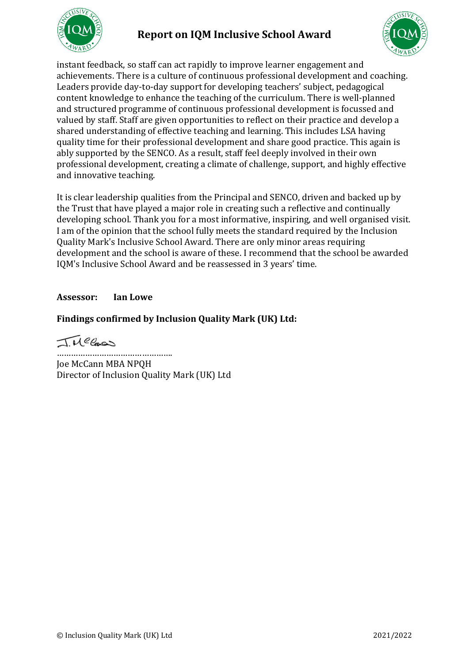

## **Report on IQM Inclusive School Award**



instant feedback, so staff can act rapidly to improve learner engagement and achievements. There is a culture of continuous professional development and coaching. Leaders provide day-to-day support for developing teachers' subject, pedagogical content knowledge to enhance the teaching of the curriculum. There is well-planned and structured programme of continuous professional development is focussed and valued by staff. Staff are given opportunities to reflect on their practice and develop a shared understanding of effective teaching and learning. This includes LSA having quality time for their professional development and share good practice. This again is ably supported by the SENCO. As a result, staff feel deeply involved in their own professional development, creating a climate of challenge, support, and highly effective and innovative teaching.

It is clear leadership qualities from the Principal and SENCO, driven and backed up by the Trust that have played a major role in creating such a reflective and continually developing school. Thank you for a most informative, inspiring, and well organised visit. I am of the opinion that the school fully meets the standard required by the Inclusion Quality Mark's Inclusive School Award. There are only minor areas requiring development and the school is aware of these. I recommend that the school be awarded IQM's Inclusive School Award and be reassessed in 3 years' time.

#### **Assessor: Ian Lowe**

### **Findings confirmed by Inclusion Quality Mark (UK) Ltd:**

Tuelos

…………………………………………. Joe McCann MBA NPQH Director of Inclusion Quality Mark (UK) Ltd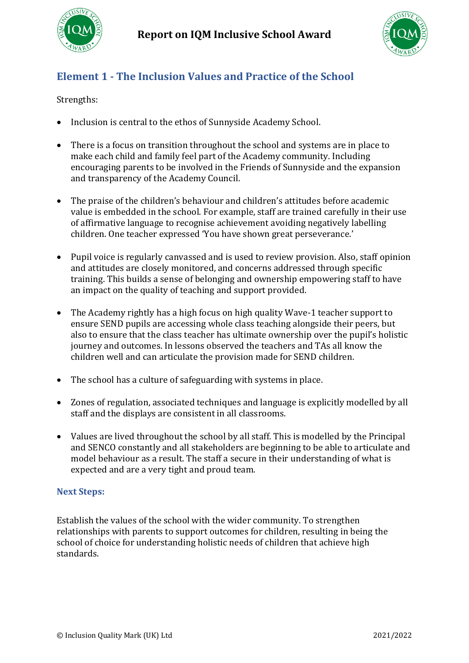



# <span id="page-6-0"></span>**Element 1 - The Inclusion Values and Practice of the School**

### Strengths:

- Inclusion is central to the ethos of Sunnyside Academy School.
- There is a focus on transition throughout the school and systems are in place to make each child and family feel part of the Academy community. Including encouraging parents to be involved in the Friends of Sunnyside and the expansion and transparency of the Academy Council.
- The praise of the children's behaviour and children's attitudes before academic value is embedded in the school. For example, staff are trained carefully in their use of affirmative language to recognise achievement avoiding negatively labelling children. One teacher expressed 'You have shown great perseverance.'
- Pupil voice is regularly canvassed and is used to review provision. Also, staff opinion and attitudes are closely monitored, and concerns addressed through specific training. This builds a sense of belonging and ownership empowering staff to have an impact on the quality of teaching and support provided.
- The Academy rightly has a high focus on high quality Wave-1 teacher support to ensure SEND pupils are accessing whole class teaching alongside their peers, but also to ensure that the class teacher has ultimate ownership over the pupil's holistic journey and outcomes. In lessons observed the teachers and TAs all know the children well and can articulate the provision made for SEND children.
- The school has a culture of safeguarding with systems in place.
- Zones of regulation, associated techniques and language is explicitly modelled by all staff and the displays are consistent in all classrooms.
- Values are lived throughout the school by all staff. This is modelled by the Principal and SENCO constantly and all stakeholders are beginning to be able to articulate and model behaviour as a result. The staff a secure in their understanding of what is expected and are a very tight and proud team.

### <span id="page-6-1"></span>**Next Steps:**

Establish the values of the school with the wider community. To strengthen relationships with parents to support outcomes for children, resulting in being the school of choice for understanding holistic needs of children that achieve high standards.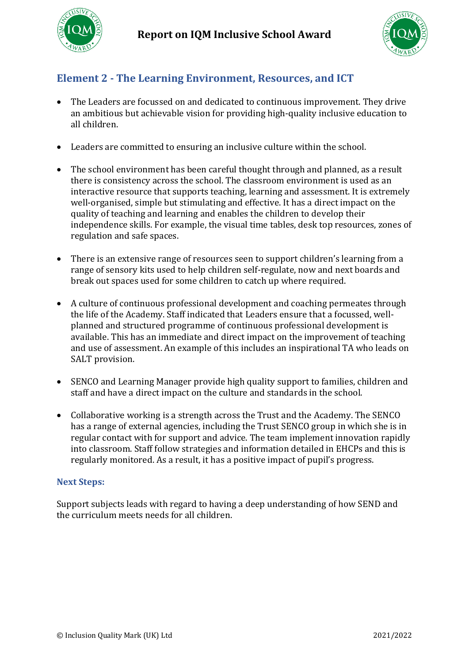



## <span id="page-7-0"></span>**Element 2 - The Learning Environment, Resources, and ICT**

- The Leaders are focussed on and dedicated to continuous improvement. They drive an ambitious but achievable vision for providing high-quality inclusive education to all children.
- Leaders are committed to ensuring an inclusive culture within the school.
- The school environment has been careful thought through and planned, as a result there is consistency across the school. The classroom environment is used as an interactive resource that supports teaching, learning and assessment. It is extremely well-organised, simple but stimulating and effective. It has a direct impact on the quality of teaching and learning and enables the children to develop their independence skills. For example, the visual time tables, desk top resources, zones of regulation and safe spaces.
- There is an extensive range of resources seen to support children's learning from a range of sensory kits used to help children self-regulate, now and next boards and break out spaces used for some children to catch up where required.
- A culture of continuous professional development and coaching permeates through the life of the Academy. Staff indicated that Leaders ensure that a focussed, wellplanned and structured programme of continuous professional development is available. This has an immediate and direct impact on the improvement of teaching and use of assessment. An example of this includes an inspirational TA who leads on SALT provision.
- SENCO and Learning Manager provide high quality support to families, children and staff and have a direct impact on the culture and standards in the school.
- Collaborative working is a strength across the Trust and the Academy. The SENCO has a range of external agencies, including the Trust SENCO group in which she is in regular contact with for support and advice. The team implement innovation rapidly into classroom. Staff follow strategies and information detailed in EHCPs and this is regularly monitored. As a result, it has a positive impact of pupil's progress.

#### <span id="page-7-1"></span>**Next Steps:**

Support subjects leads with regard to having a deep understanding of how SEND and the curriculum meets needs for all children.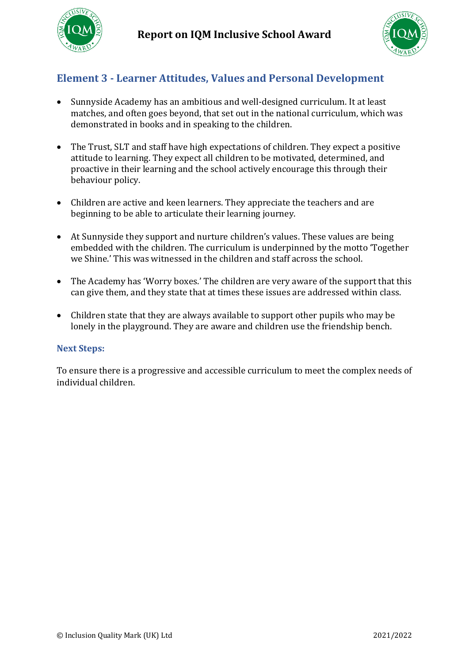



### <span id="page-8-0"></span>**Element 3 - Learner Attitudes, Values and Personal Development**

- Sunnyside Academy has an ambitious and well-designed curriculum. It at least matches, and often goes beyond, that set out in the national curriculum, which was demonstrated in books and in speaking to the children.
- The Trust, SLT and staff have high expectations of children. They expect a positive attitude to learning. They expect all children to be motivated, determined, and proactive in their learning and the school actively encourage this through their behaviour policy.
- Children are active and keen learners. They appreciate the teachers and are beginning to be able to articulate their learning journey.
- At Sunnyside they support and nurture children's values. These values are being embedded with the children. The curriculum is underpinned by the motto 'Together we Shine.' This was witnessed in the children and staff across the school.
- The Academy has 'Worry boxes.' The children are very aware of the support that this can give them, and they state that at times these issues are addressed within class.
- Children state that they are always available to support other pupils who may be lonely in the playground. They are aware and children use the friendship bench.

#### <span id="page-8-1"></span>**Next Steps:**

To ensure there is a progressive and accessible curriculum to meet the complex needs of individual children.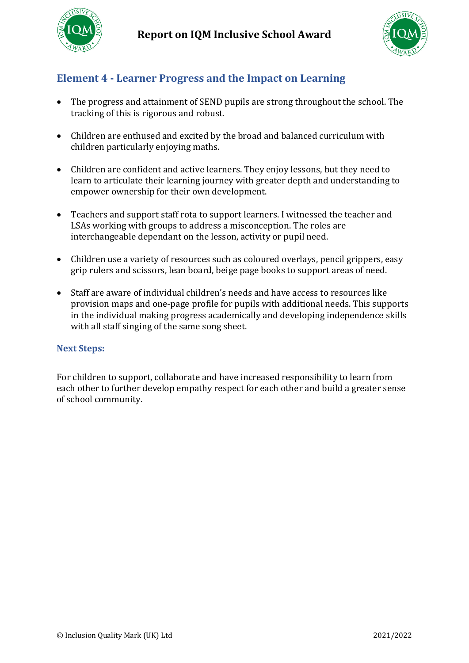



## <span id="page-9-0"></span>**Element 4 - Learner Progress and the Impact on Learning**

- The progress and attainment of SEND pupils are strong throughout the school. The tracking of this is rigorous and robust.
- Children are enthused and excited by the broad and balanced curriculum with children particularly enjoying maths.
- Children are confident and active learners. They enjoy lessons, but they need to learn to articulate their learning journey with greater depth and understanding to empower ownership for their own development.
- Teachers and support staff rota to support learners. I witnessed the teacher and LSAs working with groups to address a misconception. The roles are interchangeable dependant on the lesson, activity or pupil need.
- Children use a variety of resources such as coloured overlays, pencil grippers, easy grip rulers and scissors, lean board, beige page books to support areas of need.
- Staff are aware of individual children's needs and have access to resources like provision maps and one-page profile for pupils with additional needs. This supports in the individual making progress academically and developing independence skills with all staff singing of the same song sheet.

#### <span id="page-9-1"></span>**Next Steps:**

For children to support, collaborate and have increased responsibility to learn from each other to further develop empathy respect for each other and build a greater sense of school community.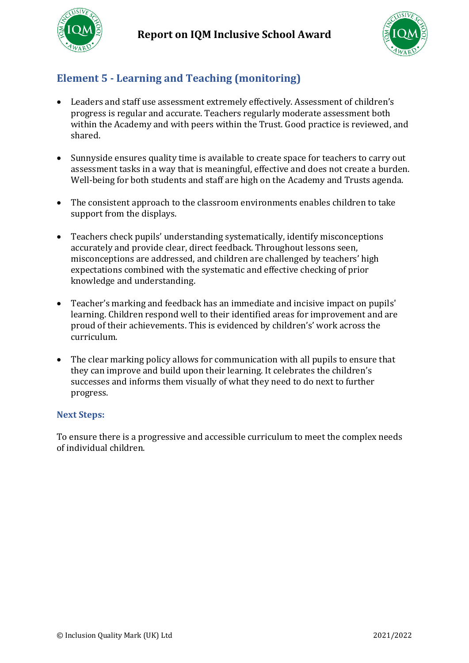



# <span id="page-10-0"></span>**Element 5 - Learning and Teaching (monitoring)**

- Leaders and staff use assessment extremely effectively. Assessment of children's progress is regular and accurate. Teachers regularly moderate assessment both within the Academy and with peers within the Trust. Good practice is reviewed, and shared.
- Sunnyside ensures quality time is available to create space for teachers to carry out assessment tasks in a way that is meaningful, effective and does not create a burden. Well-being for both students and staff are high on the Academy and Trusts agenda.
- The consistent approach to the classroom environments enables children to take support from the displays.
- Teachers check pupils' understanding systematically, identify misconceptions accurately and provide clear, direct feedback. Throughout lessons seen, misconceptions are addressed, and children are challenged by teachers' high expectations combined with the systematic and effective checking of prior knowledge and understanding.
- Teacher's marking and feedback has an immediate and incisive impact on pupils' learning. Children respond well to their identified areas for improvement and are proud of their achievements. This is evidenced by children's' work across the curriculum.
- The clear marking policy allows for communication with all pupils to ensure that they can improve and build upon their learning. It celebrates the children's successes and informs them visually of what they need to do next to further progress.

#### <span id="page-10-1"></span>**Next Steps:**

To ensure there is a progressive and accessible curriculum to meet the complex needs of individual children.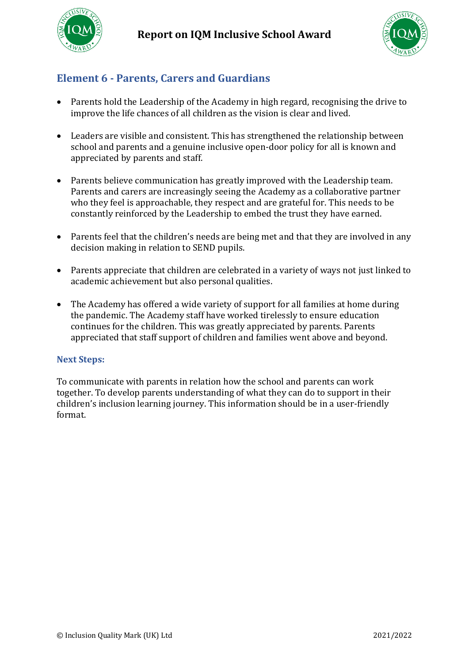



### <span id="page-11-0"></span>**Element 6 - Parents, Carers and Guardians**

- Parents hold the Leadership of the Academy in high regard, recognising the drive to improve the life chances of all children as the vision is clear and lived.
- Leaders are visible and consistent. This has strengthened the relationship between school and parents and a genuine inclusive open-door policy for all is known and appreciated by parents and staff.
- Parents believe communication has greatly improved with the Leadership team. Parents and carers are increasingly seeing the Academy as a collaborative partner who they feel is approachable, they respect and are grateful for. This needs to be constantly reinforced by the Leadership to embed the trust they have earned.
- Parents feel that the children's needs are being met and that they are involved in any decision making in relation to SEND pupils.
- Parents appreciate that children are celebrated in a variety of ways not just linked to academic achievement but also personal qualities.
- The Academy has offered a wide variety of support for all families at home during the pandemic. The Academy staff have worked tirelessly to ensure education continues for the children. This was greatly appreciated by parents. Parents appreciated that staff support of children and families went above and beyond.

### <span id="page-11-1"></span>**Next Steps:**

To communicate with parents in relation how the school and parents can work together. To develop parents understanding of what they can do to support in their children's inclusion learning journey. This information should be in a user-friendly format.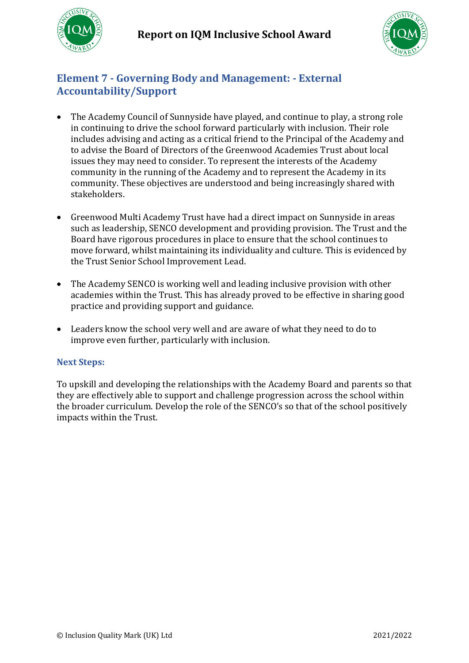

### <span id="page-12-0"></span>**Element 7 - Governing Body and Management: - External Accountability/Support**

- The Academy Council of Sunnyside have played, and continue to play, a strong role in continuing to drive the school forward particularly with inclusion. Their role includes advising and acting as a critical friend to the Principal of the Academy and to advise the Board of Directors of the Greenwood Academies Trust about local issues they may need to consider. To represent the interests of the Academy community in the running of the Academy and to represent the Academy in its community. These objectives are understood and being increasingly shared with stakeholders.
- Greenwood Multi Academy Trust have had a direct impact on Sunnyside in areas such as leadership, SENCO development and providing provision. The Trust and the Board have rigorous procedures in place to ensure that the school continues to move forward, whilst maintaining its individuality and culture. This is evidenced by the Trust Senior School Improvement Lead.
- The Academy SENCO is working well and leading inclusive provision with other academies within the Trust. This has already proved to be effective in sharing good practice and providing support and guidance.
- Leaders know the school very well and are aware of what they need to do to improve even further, particularly with inclusion.

### <span id="page-12-1"></span>**Next Steps:**

To upskill and developing the relationships with the Academy Board and parents so that they are effectively able to support and challenge progression across the school within the broader curriculum. Develop the role of the SENCO's so that of the school positively impacts within the Trust.